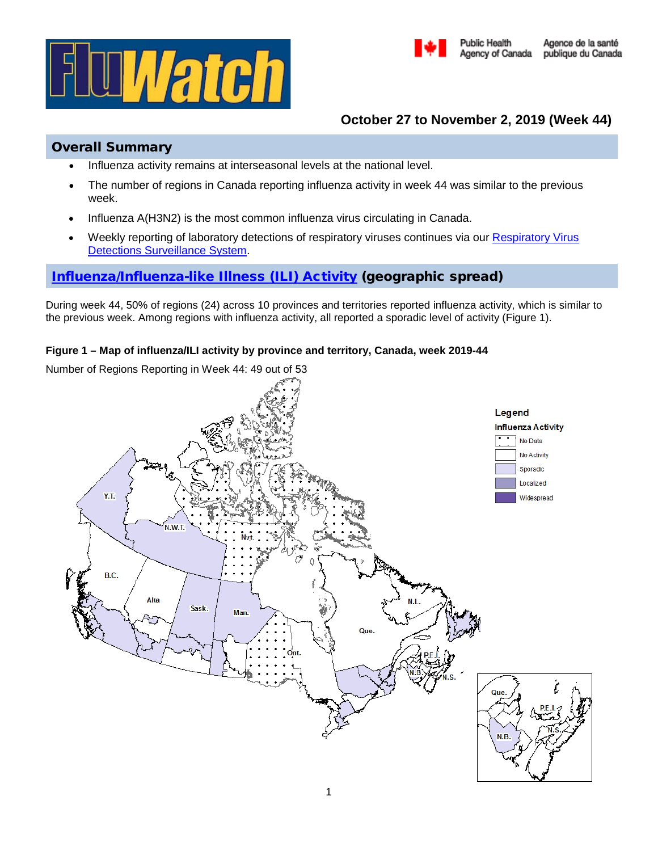



# **October 27 to November 2, 2019 (Week 44)**

# Overall Summary

- Influenza activity remains at interseasonal levels at the national level.
- The number of regions in Canada reporting influenza activity in week 44 was similar to the previous week.
- Influenza A(H3N2) is the most common influenza virus circulating in Canada.
- Weekly reporting of laboratory detections of respiratory viruses continues via our [Respiratory Virus](https://www.canada.ca/en/public-health/services/surveillance/respiratory-virus-detections-canada.html)  **[Detections Surveillance System.](https://www.canada.ca/en/public-health/services/surveillance/respiratory-virus-detections-canada.html)**

# [Influenza/Influenza-like Illness \(ILI\) Activity](https://www.canada.ca/en/public-health/services/diseases/flu-influenza/influenza-surveillance/about-fluwatch.html#a2) (geographic spread)

During week 44, 50% of regions (24) across 10 provinces and territories reported influenza activity, which is similar to the previous week. Among regions with influenza activity, all reported a sporadic level of activity (Figure 1).

## **Figure 1 – Map of influenza/ILI activity by province and territory, Canada, week 2019-44**

Number of Regions Reporting in Week 44: 49 out of 53

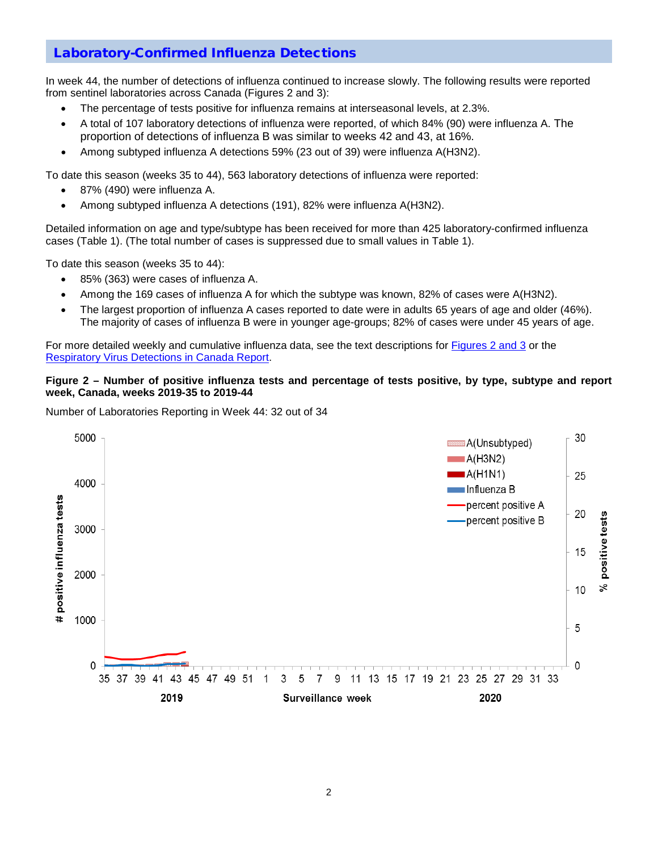# [Laboratory-Confirmed Influenza Detections](https://www.canada.ca/en/public-health/services/diseases/flu-influenza/influenza-surveillance/about-fluwatch.html#a3)

In week 44, the number of detections of influenza continued to increase slowly. The following results were reported from sentinel laboratories across Canada (Figures 2 and 3):

- The percentage of tests positive for influenza remains at interseasonal levels, at 2.3%.
- A total of 107 laboratory detections of influenza were reported, of which 84% (90) were influenza A. The proportion of detections of influenza B was similar to weeks 42 and 43, at 16%.
- Among subtyped influenza A detections 59% (23 out of 39) were influenza A(H3N2).

To date this season (weeks 35 to 44), 563 laboratory detections of influenza were reported:

- 87% (490) were influenza A.
- Among subtyped influenza A detections (191), 82% were influenza A(H3N2).

Detailed information on age and type/subtype has been received for more than 425 laboratory-confirmed influenza cases (Table 1). (The total number of cases is suppressed due to small values in Table 1).

To date this season (weeks 35 to 44):

- 85% (363) were cases of influenza A.
- Among the 169 cases of influenza A for which the subtype was known, 82% of cases were A(H3N2).
- The largest proportion of influenza A cases reported to date were in adults 65 years of age and older (46%). The majority of cases of influenza B were in younger age-groups; 82% of cases were under 45 years of age.

For more detailed weekly and cumulative influenza data, see the text descriptions for [Figures 2 and 3](https://www.canada.ca/en/public-health/services/diseases/flu-influenza/influenza-surveillance/weekly-influenza-reports.html) or the [Respiratory Virus Detections in Canada Report.](https://www.canada.ca/en/public-health/services/surveillance/respiratory-virus-detections-canada.html)

#### **Figure 2 – Number of positive influenza tests and percentage of tests positive, by type, subtype and report week, Canada, weeks 2019-35 to 2019-44**

Number of Laboratories Reporting in Week 44: 32 out of 34

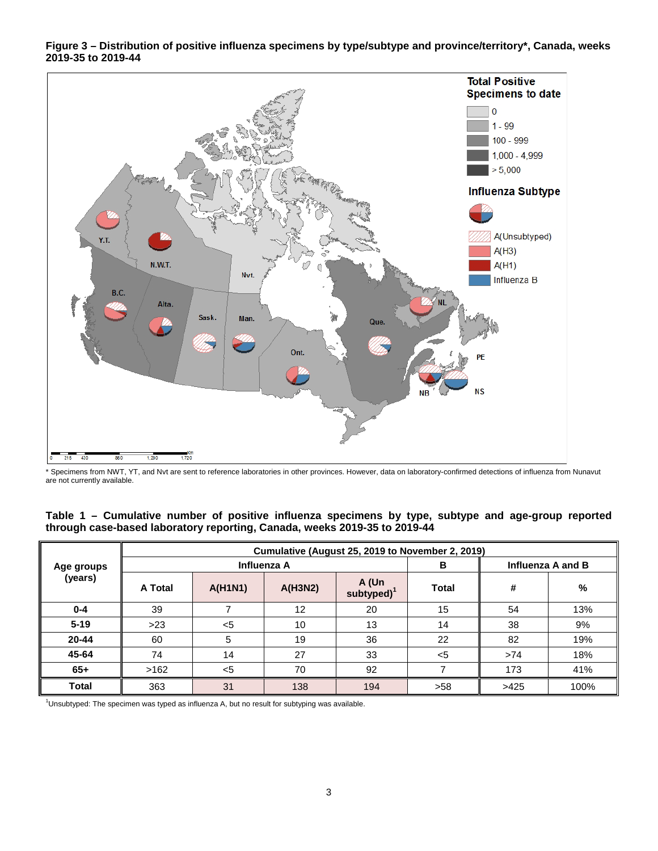

**Figure 3 – Distribution of positive influenza specimens by type/subtype and province/territory\*, Canada, weeks 2019-35 to 2019-44**

\* Specimens from NWT, YT, and Nvt are sent to reference laboratories in other provinces. However, data on laboratory-confirmed detections of influenza from Nunavut are not currently available.

| Table 1 – Cumulative number of positive influenza specimens by type, subtype and age-group reported |  |  |  |  |
|-----------------------------------------------------------------------------------------------------|--|--|--|--|
| through case-based laboratory reporting, Canada, weeks 2019-35 to 2019-44                           |  |  |  |  |

| Age groups<br>(years) | Cumulative (August 25, 2019 to November 2, 2019) |                |             |                         |                   |      |      |  |  |  |  |
|-----------------------|--------------------------------------------------|----------------|-------------|-------------------------|-------------------|------|------|--|--|--|--|
|                       |                                                  |                | Influenza A | В                       | Influenza A and B |      |      |  |  |  |  |
|                       | A Total                                          | <b>A(H1N1)</b> | A(H3N2)     | A (Un<br>subtyped $)^1$ | <b>Total</b>      | #    | %    |  |  |  |  |
| $0 - 4$               | 39                                               |                | 12          | 20                      | 15                | 54   | 13%  |  |  |  |  |
| $5 - 19$              | $>23$                                            | $5$            | 10          | 13                      | 14                | 38   | 9%   |  |  |  |  |
| $20 - 44$             | 60                                               | 5              | 19          | 36                      | 22                | 82   | 19%  |  |  |  |  |
| 45-64                 | 74                                               | 14             | 27          | 33                      | $<$ 5             | >74  | 18%  |  |  |  |  |
| $65+$                 | >162                                             | $5$            | 70          | 92                      |                   | 173  | 41%  |  |  |  |  |
| Total                 | 363                                              | 31             | 138         | 194                     | >58               | >425 | 100% |  |  |  |  |

<sup>1</sup>Unsubtyped: The specimen was typed as influenza A, but no result for subtyping was available.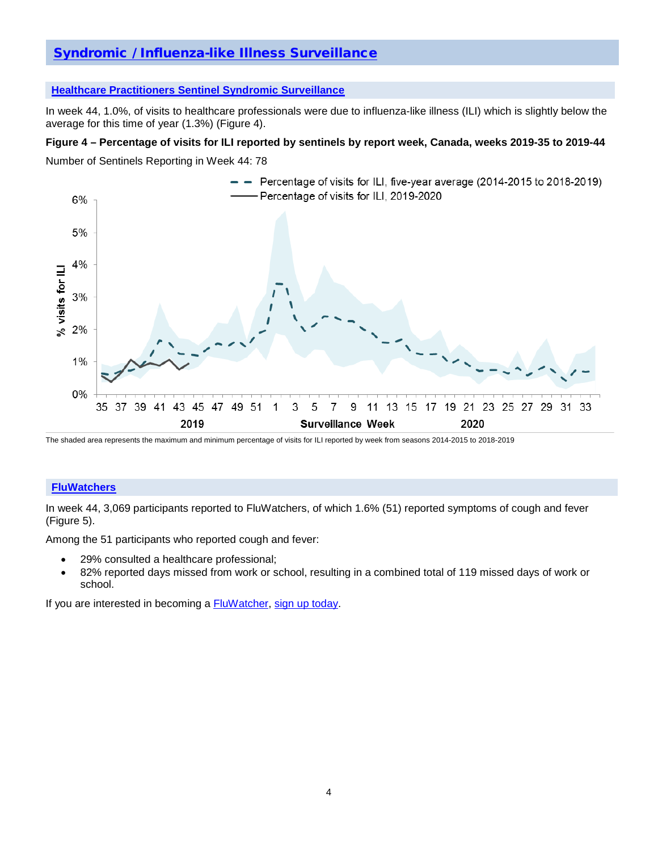# [Syndromic / Influenza-like Illness Surveillance](https://www.canada.ca/en/public-health/services/diseases/flu-influenza/influenza-surveillance/about-fluwatch.html#a4)

### **[Healthcare Practitioners Sentinel Syndromic Surveillance](https://www.canada.ca/en/public-health/services/diseases/flu-influenza/influenza-surveillance/influenza-sentinel-recruiters.html)**

In week 44, 1.0%, of visits to healthcare professionals were due to influenza-like illness (ILI) which is slightly below the average for this time of year (1.3%) (Figure 4).

### **Figure 4 – Percentage of visits for ILI reported by sentinels by report week, Canada, weeks 2019-35 to 2019-44**

Number of Sentinels Reporting in Week 44: 78



The shaded area represents the maximum and minimum percentage of visits for ILI reported by week from seasons 2014-2015 to 2018-2019

### **[FluWatchers](https://www.canada.ca/en/public-health/services/diseases/flu-influenza/fluwatcher.html)**

In week 44, 3,069 participants reported to FluWatchers, of which 1.6% (51) reported symptoms of cough and fever (Figure 5).

Among the 51 participants who reported cough and fever:

- 29% consulted a healthcare professional;
- 82% reported days missed from work or school, resulting in a combined total of 119 missed days of work or school.

If you are interested in becoming a **FluWatcher**, [sign up today.](https://cnphi.canada.ca/fluWatcher/register)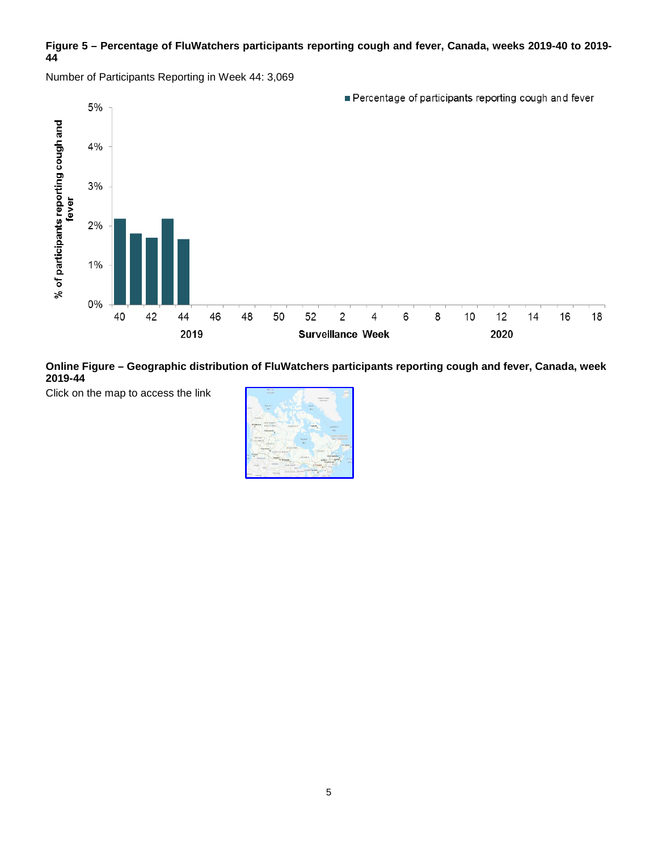## **Figure 5 – Percentage of FluWatchers participants reporting cough and fever, Canada, weeks 2019-40 to 2019- 44**

Number of Participants Reporting in Week 44: 3,069





Click on the map to access the link

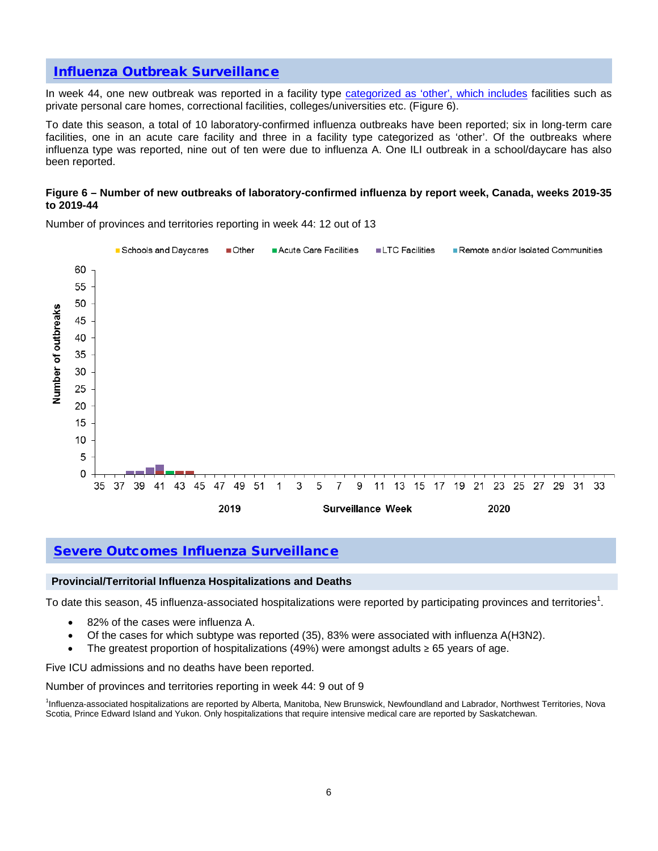## [Influenza Outbreak Surveillance](https://www.canada.ca/en/public-health/services/diseases/flu-influenza/influenza-surveillance/about-fluwatch.html#a5)

In week 44, one new outbreak was reported in a facility type [categorized as 'other',](https://www.canada.ca/en/public-health/services/diseases/flu-influenza/influenza-surveillance/about-fluwatch.html#a2.4) which includes facilities such as private personal care homes, correctional facilities, colleges/universities etc. (Figure 6).

To date this season, a total of 10 laboratory-confirmed influenza outbreaks have been reported; six in long-term care facilities, one in an acute care facility and three in a facility type categorized as 'other'. Of the outbreaks where influenza type was reported, nine out of ten were due to influenza A. One ILI outbreak in a school/daycare has also been reported.

#### **Figure 6 – Number of new outbreaks of laboratory-confirmed influenza by report week, Canada, weeks 2019-35 to 2019-44**



Number of provinces and territories reporting in week 44: 12 out of 13

## [Severe Outcomes Influenza Surveillance](https://www.canada.ca/en/public-health/services/diseases/flu-influenza/influenza-surveillance/about-fluwatch.html#a6)

#### **Provincial/Territorial Influenza Hospitalizations and Deaths**

To date this season, 45 influenza-associated hospitalizations were reported by participating provinces and territories<sup>1</sup>.

- 82% of the cases were influenza A.
- Of the cases for which subtype was reported (35), 83% were associated with influenza A(H3N2).
- The greatest proportion of hospitalizations (49%) were amongst adults  $\geq 65$  years of age.

Five ICU admissions and no deaths have been reported.

Number of provinces and territories reporting in week 44: 9 out of 9

1 Influenza-associated hospitalizations are reported by Alberta, Manitoba, New Brunswick, Newfoundland and Labrador, Northwest Territories, Nova Scotia, Prince Edward Island and Yukon. Only hospitalizations that require intensive medical care are reported by Saskatchewan.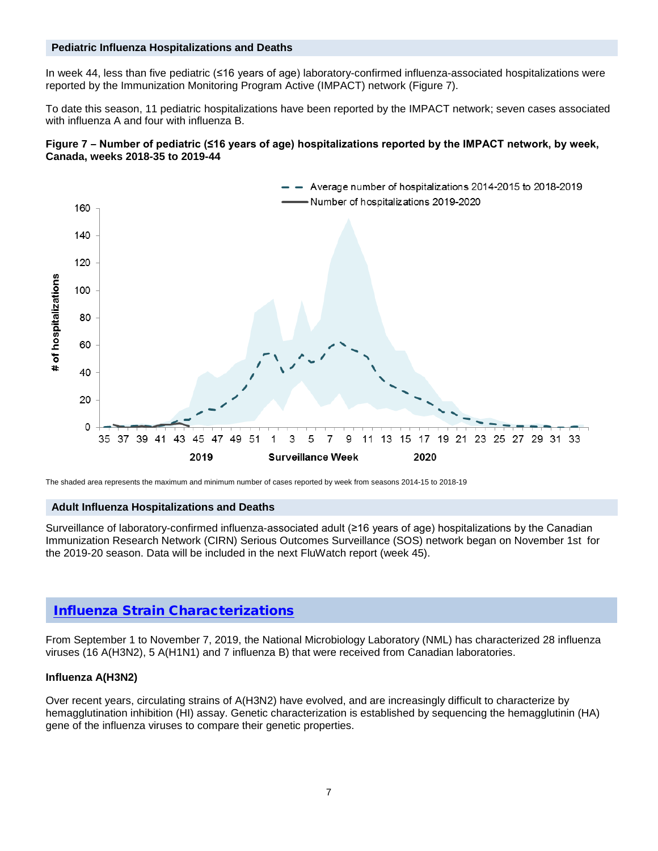## **Pediatric Influenza Hospitalizations and Deaths**

In week 44, less than five pediatric (≤16 years of age) laboratory-confirmed influenza-associated hospitalizations were reported by the Immunization Monitoring Program Active (IMPACT) network (Figure 7).

To date this season, 11 pediatric hospitalizations have been reported by the IMPACT network; seven cases associated with influenza A and four with influenza B.





The shaded area represents the maximum and minimum number of cases reported by week from seasons 2014-15 to 2018-19

#### **Adult Influenza Hospitalizations and Deaths**

Surveillance of laboratory-confirmed influenza-associated adult (≥16 years of age) hospitalizations by the Canadian Immunization Research Network (CIRN) Serious Outcomes Surveillance (SOS) network began on November 1st for the 2019-20 season. Data will be included in the next FluWatch report (week 45).

## [Influenza Strain Characterizations](https://www.canada.ca/en/public-health/services/diseases/flu-influenza/influenza-surveillance/about-fluwatch.html#a7)

From September 1 to November 7, 2019, the National Microbiology Laboratory (NML) has characterized 28 influenza viruses (16 A(H3N2), 5 A(H1N1) and 7 influenza B) that were received from Canadian laboratories.

#### **Influenza A(H3N2)**

Over recent years, circulating strains of A(H3N2) have evolved, and are increasingly difficult to characterize by hemagglutination inhibition (HI) assay. Genetic characterization is established by sequencing the hemagglutinin (HA) gene of the influenza viruses to compare their genetic properties.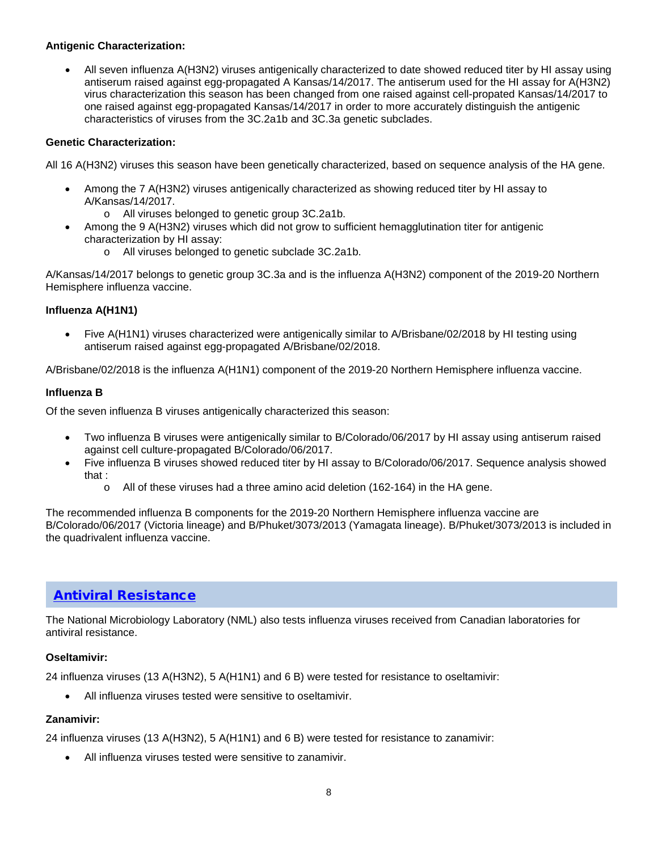## **Antigenic Characterization:**

• All seven influenza A(H3N2) viruses antigenically characterized to date showed reduced titer by HI assay using antiserum raised against egg-propagated A Kansas/14/2017. The antiserum used for the HI assay for A(H3N2) virus characterization this season has been changed from one raised against cell-propated Kansas/14/2017 to one raised against egg-propagated Kansas/14/2017 in order to more accurately distinguish the antigenic characteristics of viruses from the 3C.2a1b and 3C.3a genetic subclades.

## **Genetic Characterization:**

All 16 A(H3N2) viruses this season have been genetically characterized, based on sequence analysis of the HA gene.

- Among the 7 A(H3N2) viruses antigenically characterized as showing reduced titer by HI assay to A/Kansas/14/2017.
	- o All viruses belonged to genetic group 3C.2a1b.
- Among the 9 A(H3N2) viruses which did not grow to sufficient hemagglutination titer for antigenic characterization by HI assay:
	- o All viruses belonged to genetic subclade 3C.2a1b.

A/Kansas/14/2017 belongs to genetic group 3C.3a and is the influenza A(H3N2) component of the 2019-20 Northern Hemisphere influenza vaccine.

## **Influenza A(H1N1)**

• Five A(H1N1) viruses characterized were antigenically similar to A/Brisbane/02/2018 by HI testing using antiserum raised against egg-propagated A/Brisbane/02/2018.

A/Brisbane/02/2018 is the influenza A(H1N1) component of the 2019-20 Northern Hemisphere influenza vaccine.

### **Influenza B**

Of the seven influenza B viruses antigenically characterized this season:

- Two influenza B viruses were antigenically similar to B/Colorado/06/2017 by HI assay using antiserum raised against cell culture-propagated B/Colorado/06/2017.
- Five influenza B viruses showed reduced titer by HI assay to B/Colorado/06/2017. Sequence analysis showed that :
	- $\circ$  All of these viruses had a three amino acid deletion (162-164) in the HA gene.

The recommended influenza B components for the 2019-20 Northern Hemisphere influenza vaccine are B/Colorado/06/2017 (Victoria lineage) and B/Phuket/3073/2013 (Yamagata lineage). B/Phuket/3073/2013 is included in the quadrivalent influenza vaccine.

## [Antiviral Resistance](https://www.canada.ca/en/public-health/services/diseases/flu-influenza/influenza-surveillance/about-fluwatch.html#a7)

The National Microbiology Laboratory (NML) also tests influenza viruses received from Canadian laboratories for antiviral resistance.

#### **Oseltamivir:**

24 influenza viruses (13 A(H3N2), 5 A(H1N1) and 6 B) were tested for resistance to oseltamivir:

All influenza viruses tested were sensitive to oseltamivir.

## **Zanamivir:**

24 influenza viruses (13 A(H3N2), 5 A(H1N1) and 6 B) were tested for resistance to zanamivir:

• All influenza viruses tested were sensitive to zanamivir.